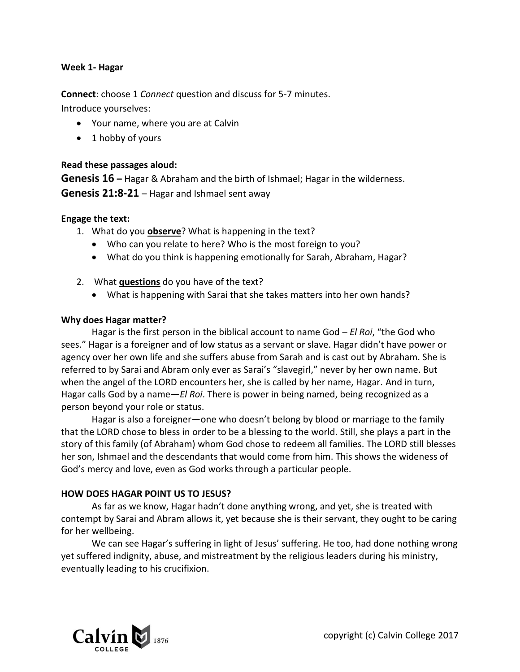#### **Week 1- Hagar**

**Connect**: choose 1 *Connect* question and discuss for 5-7 minutes. Introduce yourselves:

- Your name, where you are at Calvin
- 1 hobby of yours

## **Read these passages aloud:**

**Genesis 16 –** Hagar & Abraham and the birth of Ishmael; Hagar in the wilderness. **Genesis 21:8-21** – Hagar and Ishmael sent away

#### **Engage the text:**

- 1. What do you **observe**? What is happening in the text?
	- Who can you relate to here? Who is the most foreign to you?
	- What do you think is happening emotionally for Sarah, Abraham, Hagar?
- 2. What **questions** do you have of the text?
	- What is happening with Sarai that she takes matters into her own hands?

## **Why does Hagar matter?**

Hagar is the first person in the biblical account to name God – *El Roi*, "the God who sees." Hagar is a foreigner and of low status as a servant or slave. Hagar didn't have power or agency over her own life and she suffers abuse from Sarah and is cast out by Abraham. She is referred to by Sarai and Abram only ever as Sarai's "slavegirl," never by her own name. But when the angel of the LORD encounters her, she is called by her name, Hagar. And in turn, Hagar calls God by a name—*El Roi*. There is power in being named, being recognized as a person beyond your role or status.

Hagar is also a foreigner—one who doesn't belong by blood or marriage to the family that the LORD chose to bless in order to be a blessing to the world. Still, she plays a part in the story of this family (of Abraham) whom God chose to redeem all families. The LORD still blesses her son, Ishmael and the descendants that would come from him. This shows the wideness of God's mercy and love, even as God works through a particular people.

## **HOW DOES HAGAR POINT US TO JESUS?**

As far as we know, Hagar hadn't done anything wrong, and yet, she is treated with contempt by Sarai and Abram allows it, yet because she is their servant, they ought to be caring for her wellbeing.

We can see Hagar's suffering in light of Jesus' suffering. He too, had done nothing wrong yet suffered indignity, abuse, and mistreatment by the religious leaders during his ministry, eventually leading to his crucifixion.

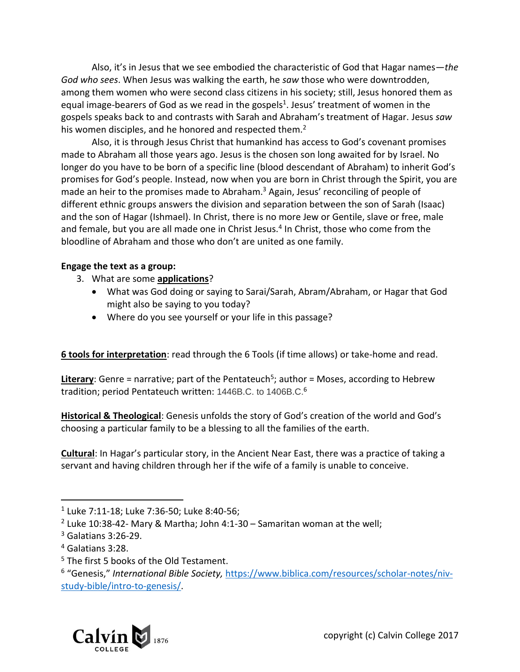Also, it's in Jesus that we see embodied the characteristic of God that Hagar names—*the God who sees*. When Jesus was walking the earth, he *saw* those who were downtrodden, among them women who were second class citizens in his society; still, Jesus honored them as equal image-bearers of God as we read in the gospels<sup>1</sup>. Jesus' treatment of women in the gospels speaks back to and contrasts with Sarah and Abraham's treatment of Hagar. Jesus *saw* his women disciples, and he honored and respected them.<sup>2</sup>

Also, it is through Jesus Christ that humankind has access to God's covenant promises made to Abraham all those years ago. Jesus is the chosen son long awaited for by Israel. No longer do you have to be born of a specific line (blood descendant of Abraham) to inherit God's promises for God's people. Instead, now when you are born in Christ through the Spirit, you are made an heir to the promises made to Abraham.<sup>3</sup> Again, Jesus' reconciling of people of different ethnic groups answers the division and separation between the son of Sarah (Isaac) and the son of Hagar (Ishmael). In Christ, there is no more Jew or Gentile, slave or free, male and female, but you are all made one in Christ Jesus.<sup>4</sup> In Christ, those who come from the bloodline of Abraham and those who don't are united as one family.

# **Engage the text as a group:**

- 3. What are some **applications**?
	- What was God doing or saying to Sarai/Sarah, Abram/Abraham, or Hagar that God might also be saying to you today?
	- Where do you see yourself or your life in this passage?

**6 tools for interpretation**: read through the 6 Tools (if time allows) or take-home and read.

Literary: Genre = narrative; part of the Pentateuch<sup>5</sup>; author = Moses, according to Hebrew tradition; period Pentateuch written: 1446B.C. to 1406B.C.<sup>6</sup>

**Historical & Theological**: Genesis unfolds the story of God's creation of the world and God's choosing a particular family to be a blessing to all the families of the earth.

**Cultural**: In Hagar's particular story, in the Ancient Near East, there was a practice of taking a servant and having children through her if the wife of a family is unable to conceive.

 $\overline{a}$ 

<sup>&</sup>lt;sup>6</sup> "Genesis," International Bible Society, [https://www.biblica.com/resources/scholar-notes/niv](https://www.biblica.com/resources/scholar-notes/niv-study-bible/intro-to-genesis/)[study-bible/intro-to-genesis/.](https://www.biblica.com/resources/scholar-notes/niv-study-bible/intro-to-genesis/)



<sup>1</sup> Luke 7:11-18; Luke 7:36-50; Luke 8:40-56;

 $2$  Luke 10:38-42- Mary & Martha; John 4:1-30 – Samaritan woman at the well;

<sup>3</sup> Galatians 3:26-29.

<sup>4</sup> Galatians 3:28.

<sup>&</sup>lt;sup>5</sup> The first 5 books of the Old Testament.